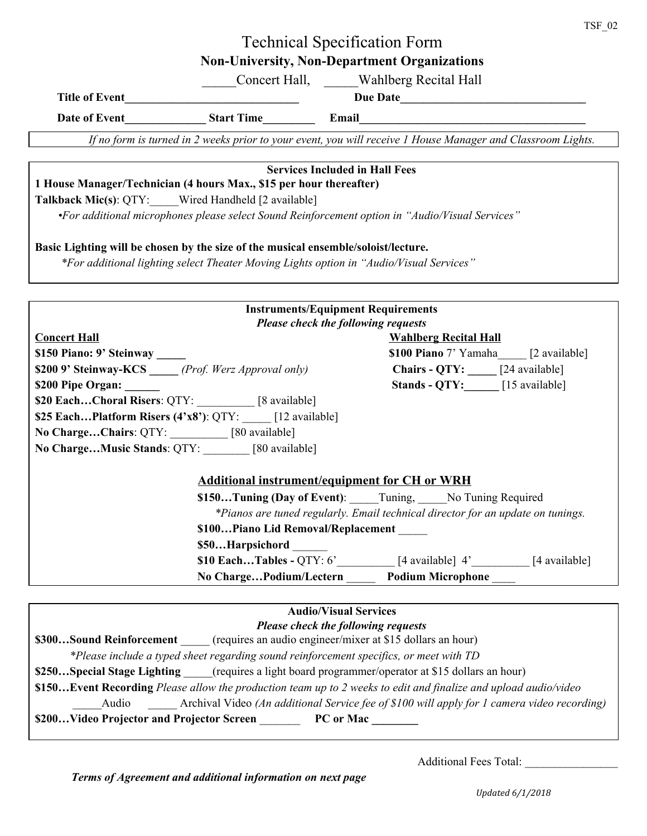# Technical Specification Form **Non-University, Non-Department Organizations**

\_\_\_\_\_Concert Hall, \_\_\_\_\_Wahlberg Recital Hall

| <b>Title of Event</b> |                   | <b>Due Date</b> |  |
|-----------------------|-------------------|-----------------|--|
| Date of Event         | <b>Start Time</b> | Email           |  |

If no form is turned in 2 weeks prior to your event, you will receive 1 House Manager and Classroom Lights.

#### **Services Included in Hall Fees**

### **1 House Manager/Technician (4 hours Max., \$15 per hour thereafter)**

**Talkback Mic(s)**: QTY:\_\_\_\_\_Wired Handheld [2 available]

*•For additional microphones please select Sound Reinforcement option in "Audio/Visual Services"*

### **Basic Lighting will be chosen by the size of the musical ensemble/soloist/lecture.**

*\*For additional lighting select Theater Moving Lights option in "Audio/Visual Services"*

| <b>Instruments/Equipment Requirements</b>                                       |                                                                      |  |  |  |  |  |  |
|---------------------------------------------------------------------------------|----------------------------------------------------------------------|--|--|--|--|--|--|
| <b>Please check the following requests</b>                                      |                                                                      |  |  |  |  |  |  |
| <b>Concert Hall</b>                                                             | <b>Wahlberg Recital Hall</b>                                         |  |  |  |  |  |  |
| \$150 Piano: 9' Steinway _____                                                  | \$100 Piano 7' Yamaha [2 available]                                  |  |  |  |  |  |  |
| <b>\$200 9' Steinway-KCS</b> ( <i>Prof. Werz Approval only</i> )                | Chairs - QTY: _____ [24 available]                                   |  |  |  |  |  |  |
| \$200 Pipe Organ:                                                               | <b>Stands - QTY:</b> [15 available]                                  |  |  |  |  |  |  |
| <b>\$20 EachChoral Risers: QTY:</b> [8 available]                               |                                                                      |  |  |  |  |  |  |
| \$25 EachPlatform Risers $(4'x8')$ : QTY: [12 available]                        |                                                                      |  |  |  |  |  |  |
| No ChargeChairs: QTY: [80 available]                                            |                                                                      |  |  |  |  |  |  |
| No ChargeMusic Stands: QTY: [80 available]                                      |                                                                      |  |  |  |  |  |  |
|                                                                                 |                                                                      |  |  |  |  |  |  |
| <b>Additional instrument/equipment for CH or WRH</b>                            |                                                                      |  |  |  |  |  |  |
| \$150Tuning (Day of Event): Tuning, No Tuning Required                          |                                                                      |  |  |  |  |  |  |
| *Pianos are tuned regularly. Email technical director for an update on tunings. |                                                                      |  |  |  |  |  |  |
| \$100Piano Lid Removal/Replacement                                              |                                                                      |  |  |  |  |  |  |
| \$50Harpsichord                                                                 |                                                                      |  |  |  |  |  |  |
|                                                                                 | <b>\$10 EachTables - QTY</b> : $6'$ [4 available] $4'$ [4 available] |  |  |  |  |  |  |
| No ChargePodium/Lectern ______ Podium Microphone ____                           |                                                                      |  |  |  |  |  |  |

# **Audio/Visual Services**

#### *Please check the following requests*

**\$300...Sound Reinforcement** (requires an audio engineer/mixer at \$15 dollars an hour)

*\*Please include a typed sheet regarding sound reinforcement specifics, or meet with TD*

**\$250...Special Stage Lighting** (requires a light board programmer/operator at \$15 dollars an hour)

\$150...Event Recording Please allow the production team up to 2 weeks to edit and finalize and upload audio/video

\_\_\_\_\_Audio \_\_\_\_\_ Archival Video *(An additional Service fee of \$100 will apply for 1 camera video recording)*

**\$200…Video Projector and Projector Screen** \_\_\_\_\_\_\_ **PC or Mac \_\_\_\_\_\_\_\_**

Additional Fees Total: \_\_\_\_\_\_\_\_\_\_\_\_\_\_\_\_

*Terms of Agreement and additional information on next page*